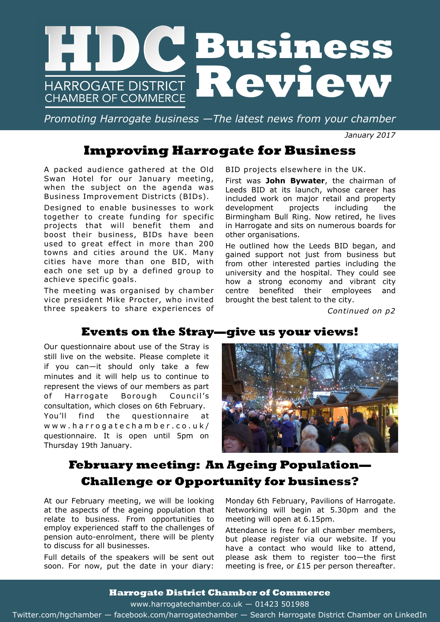

*Promoting Harrogate business —The latest news from your chamber*

*January 2017*

# **Improving Harrogate for Business**

A packed audience gathered at the Old Swan Hotel for our January meeting, when the subject on the agenda was Business Improvement Districts (BIDs).

Designed to enable businesses to work together to create funding for specific projects that will benefit them and boost their business, BIDs have been used to great effect in more than 200 towns and cities around the UK. Many cities have more than one BID, with each one set up by a defined group to achieve specific goals.

The meeting was organised by chamber vice president Mike Procter, who invited three speakers to share experiences of

BID projects elsewhere in the UK.

First was **John Bywater**, the chairman of Leeds BID at its launch, whose career has included work on major retail and property development projects including the Birmingham Bull Ring. Now retired, he lives in Harrogate and sits on numerous boards for other organisations.

He outlined how the Leeds BID began, and gained support not just from business but from other interested parties including the university and the hospital. They could see how a strong economy and vibrant city centre benefited their employees and brought the best talent to the city.

*Continued on p2*

### **Events on the Stray—give us your views!**

Our questionnaire about use of the Stray is still live on the website. Please complete it if you can—it should only take a few minutes and it will help us to continue to represent the views of our members as part of Harrogate Borough Council's consultation, which closes on 6th February. You'll find the questionnaire at www.harrogatechamber.co.uk/ questionnaire. It is open until 5pm on Thursday 19th January.



# **February meeting: An Ageing Population— Challenge or Opportunity for business?**

At our February meeting, we will be looking at the aspects of the ageing population that relate to business. From opportunities to employ experienced staff to the challenges of pension auto-enrolment, there will be plenty to discuss for all businesses.

Full details of the speakers will be sent out soon. For now, put the date in your diary:

Monday 6th February, Pavilions of Harrogate. Networking will begin at 5.30pm and the meeting will open at 6.15pm.

Attendance is free for all chamber members, but please register via our website. If you have a contact who would like to attend, please ask them to register too—the first meeting is free, or £15 per person thereafter.

#### **Harrogate District Chamber of Commerce**

www.harrogatechamber.co.uk — 01423 501988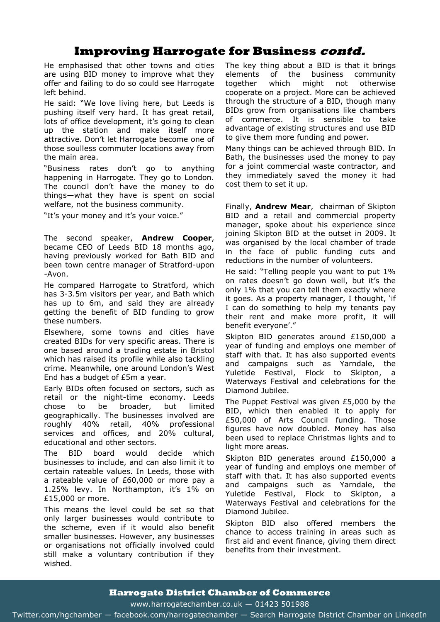## **Improving Harrogate for Business contd.**

He emphasised that other towns and cities are using BID money to improve what they offer and failing to do so could see Harrogate left behind.

He said: "We love living here, but Leeds is pushing itself very hard. It has great retail, lots of office development, it's going to clean up the station and make itself more attractive. Don't let Harrogate become one of those soulless commuter locations away from the main area.

"Business rates don't go to anything happening in Harrogate. They go to London. The council don't have the money to do things—what they have is spent on social welfare, not the business community.

"It's your money and it's your voice."

The second speaker, **Andrew Cooper**, became CEO of Leeds BID 18 months ago, having previously worked for Bath BID and been town centre manager of Stratford-upon -Avon.

He compared Harrogate to Stratford, which has 3-3.5m visitors per year, and Bath which has up to 6m, and said they are already getting the benefit of BID funding to grow these numbers.

Elsewhere, some towns and cities have created BIDs for very specific areas. There is one based around a trading estate in Bristol which has raised its profile while also tackling crime. Meanwhile, one around London's West End has a budget of £5m a year.

Early BIDs often focused on sectors, such as retail or the night-time economy. Leeds chose to be broader, but limited geographically. The businesses involved are roughly 40% retail, 40% professional services and offices, and 20% cultural, educational and other sectors.

The BID board would decide which businesses to include, and can also limit it to certain rateable values. In Leeds, those with a rateable value of £60,000 or more pay a 1.25% levy. In Northampton, it's 1% on £15,000 or more.

This means the level could be set so that only larger businesses would contribute to the scheme, even if it would also benefit smaller businesses. However, any businesses or organisations not officially involved could still make a voluntary contribution if they wished.

The key thing about a BID is that it brings elements of the business community together which might not otherwise cooperate on a project. More can be achieved through the structure of a BID, though many BIDs grow from organisations like chambers of commerce. It is sensible to take advantage of existing structures and use BID to give them more funding and power.

Many things can be achieved through BID. In Bath, the businesses used the money to pay for a joint commercial waste contractor, and they immediately saved the money it had cost them to set it up.

Finally, **Andrew Mear**, chairman of Skipton BID and a retail and commercial property manager, spoke about his experience since joining Skipton BID at the outset in 2009. It was organised by the local chamber of trade in the face of public funding cuts and reductions in the number of volunteers.

He said: "Telling people you want to put 1% on rates doesn't go down well, but it's the only 1% that you can tell them exactly where it goes. As a property manager, I thought, 'if I can do something to help my tenants pay their rent and make more profit, it will benefit everyone'."

Skipton BID generates around £150,000 a year of funding and employs one member of staff with that. It has also supported events and campaigns such as Yarndale, the Yuletide Festival, Flock to Skipton, Waterways Festival and celebrations for the Diamond Jubilee.

The Puppet Festival was given £5,000 by the BID, which then enabled it to apply for £50,000 of Arts Council funding. Those figures have now doubled. Money has also been used to replace Christmas lights and to light more areas.

Skipton BID generates around £150,000 a year of funding and employs one member of staff with that. It has also supported events and campaigns such as Yarndale, the Yuletide Festival, Flock to Skipton, a Waterways Festival and celebrations for the Diamond Jubilee.

Skipton BID also offered members the chance to access training in areas such as first aid and event finance, giving them direct benefits from their investment.

#### **Harrogate District Chamber of Commerce**

www.harrogatechamber.co.uk — 01423 501988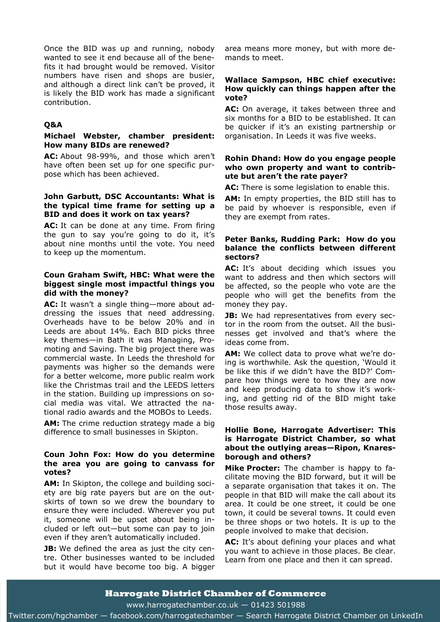Once the BID was up and running, nobody wanted to see it end because all of the benefits it had brought would be removed. Visitor numbers have risen and shops are busier, and although a direct link can't be proved, it is likely the BID work has made a significant contribution.

#### **Q&A**

#### **Michael Webster, chamber president: How many BIDs are renewed?**

**AC:** About 98-99%, and those which aren't have often been set up for one specific purpose which has been achieved.

#### **John Garbutt, DSC Accountants: What is the typical time frame for setting up a BID and does it work on tax years?**

**AC:** It can be done at any time. From firing the gun to say you're going to do it, it's about nine months until the vote. You need to keep up the momentum.

#### **Coun Graham Swift, HBC: What were the biggest single most impactful things you did with the money?**

**AC:** It wasn't a single thing—more about addressing the issues that need addressing. Overheads have to be below 20% and in Leeds are about 14%. Each BID picks three key themes—in Bath it was Managing, Promoting and Saving. The big project there was commercial waste. In Leeds the threshold for payments was higher so the demands were for a better welcome, more public realm work like the Christmas trail and the LEEDS letters in the station. Building up impressions on social media was vital. We attracted the national radio awards and the MOBOs to Leeds.

AM: The crime reduction strategy made a big difference to small businesses in Skipton.

#### **Coun John Fox: How do you determine the area you are going to canvass for votes?**

**AM:** In Skipton, the college and building society are big rate payers but are on the outskirts of town so we drew the boundary to ensure they were included. Wherever you put it, someone will be upset about being included or left out—but some can pay to join even if they aren't automatically included.

**JB:** We defined the area as just the city centre. Other businesses wanted to be included but it would have become too big. A bigger

area means more money, but with more demands to meet.

#### **Wallace Sampson, HBC chief executive: How quickly can things happen after the vote?**

**AC:** On average, it takes between three and six months for a BID to be established. It can be quicker if it's an existing partnership or organisation. In Leeds it was five weeks.

#### **Rohin Dhand: How do you engage people who own property and want to contribute but aren't the rate payer?**

**AC:** There is some legislation to enable this.

**AM:** In empty properties, the BID still has to be paid by whoever is responsible, even if they are exempt from rates.

#### **Peter Banks, Rudding Park: How do you balance the conflicts between different sectors?**

AC: It's about deciding which issues you want to address and then which sectors will be affected, so the people who vote are the people who will get the benefits from the money they pay.

**JB:** We had representatives from every sector in the room from the outset. All the businesses get involved and that's where the ideas come from.

**AM:** We collect data to prove what we're doing is worthwhile. Ask the question, 'Would it be like this if we didn't have the BID?' Compare how things were to how they are now and keep producing data to show it's working, and getting rid of the BID might take those results away.

#### **Hollie Bone, Harrogate Advertiser: This is Harrogate District Chamber, so what about the outlying areas—Ripon, Knaresborough and others?**

**Mike Procter:** The chamber is happy to facilitate moving the BID forward, but it will be a separate organisation that takes it on. The people in that BID will make the call about its area. It could be one street, it could be one town, it could be several towns. It could even be three shops or two hotels. It is up to the people involved to make that decision.

**AC:** It's about defining your places and what you want to achieve in those places. Be clear. Learn from one place and then it can spread.

#### **Harrogate District Chamber of Commerce**

www.harrogatechamber.co.uk — 01423 501988